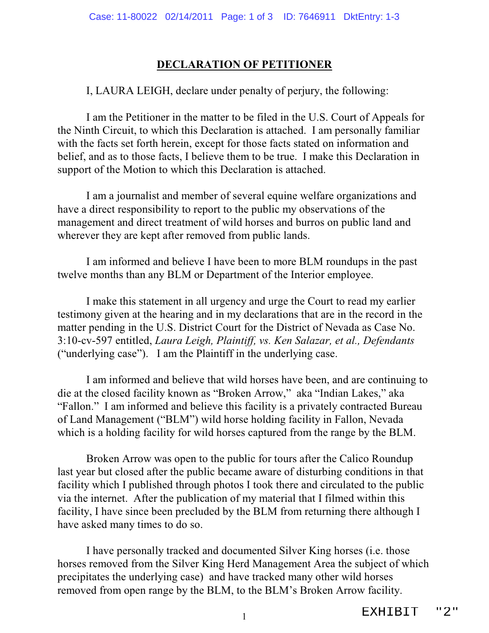## **DECLARATION OF PETITIONER**

I, LAURA LEIGH, declare under penalty of perjury, the following:

I am the Petitioner in the matter to be filed in the U.S. Court of Appeals for the Ninth Circuit, to which this Declaration is attached. I am personally familiar with the facts set forth herein, except for those facts stated on information and belief, and as to those facts, I believe them to be true. I make this Declaration in support of the Motion to which this Declaration is attached.

I am a journalist and member of several equine welfare organizations and have a direct responsibility to report to the public my observations of the management and direct treatment of wild horses and burros on public land and wherever they are kept after removed from public lands.

I am informed and believe I have been to more BLM roundups in the past twelve months than any BLM or Department of the Interior employee.

I make this statement in all urgency and urge the Court to read my earlier testimony given at the hearing and in my declarations that are in the record in the matter pending in the U.S. District Court for the District of Nevada as Case No. 3:10-cv-597 entitled, *Laura Leigh, Plaintiff, vs. Ken Salazar, et al., Defendants* ("underlying case"). I am the Plaintiff in the underlying case.

I am informed and believe that wild horses have been, and are continuing to die at the closed facility known as "Broken Arrow," aka "Indian Lakes," aka "Fallon." I am informed and believe this facility is a privately contracted Bureau of Land Management ("BLM") wild horse holding facility in Fallon, Nevada which is a holding facility for wild horses captured from the range by the BLM.

Broken Arrow was open to the public for tours after the Calico Roundup last year but closed after the public became aware of disturbing conditions in that facility which I published through photos I took there and circulated to the public via the internet. After the publication of my material that I filmed within this facility, I have since been precluded by the BLM from returning there although I have asked many times to do so.

I have personally tracked and documented Silver King horses (i.e. those horses removed from the Silver King Herd Management Area the subject of which precipitates the underlying case) and have tracked many other wild horses removed from open range by the BLM, to the BLM's Broken Arrow facility.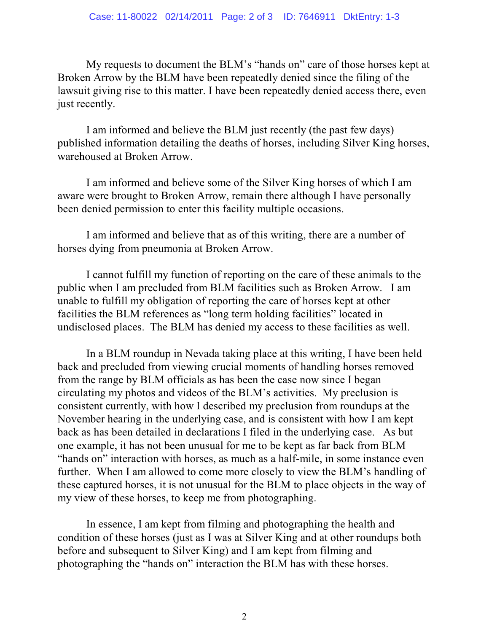My requests to document the BLM's "hands on" care of those horses kept at Broken Arrow by the BLM have been repeatedly denied since the filing of the lawsuit giving rise to this matter. I have been repeatedly denied access there, even just recently.

I am informed and believe the BLM just recently (the past few days) published information detailing the deaths of horses, including Silver King horses, warehoused at Broken Arrow.

I am informed and believe some of the Silver King horses of which I am aware were brought to Broken Arrow, remain there although I have personally been denied permission to enter this facility multiple occasions.

I am informed and believe that as of this writing, there are a number of horses dying from pneumonia at Broken Arrow.

I cannot fulfill my function of reporting on the care of these animals to the public when I am precluded from BLM facilities such as Broken Arrow. I am unable to fulfill my obligation of reporting the care of horses kept at other facilities the BLM references as "long term holding facilities" located in undisclosed places. The BLM has denied my access to these facilities as well.

In a BLM roundup in Nevada taking place at this writing, I have been held back and precluded from viewing crucial moments of handling horses removed from the range by BLM officials as has been the case now since I began circulating my photos and videos of the BLM's activities. My preclusion is consistent currently, with how I described my preclusion from roundups at the November hearing in the underlying case, and is consistent with how I am kept back as has been detailed in declarations I filed in the underlying case. As but one example, it has not been unusual for me to be kept as far back from BLM "hands on" interaction with horses, as much as a half-mile, in some instance even further. When I am allowed to come more closely to view the BLM's handling of these captured horses, it is not unusual for the BLM to place objects in the way of my view of these horses, to keep me from photographing.

In essence, I am kept from filming and photographing the health and condition of these horses (just as I was at Silver King and at other roundups both before and subsequent to Silver King) and I am kept from filming and photographing the "hands on" interaction the BLM has with these horses.